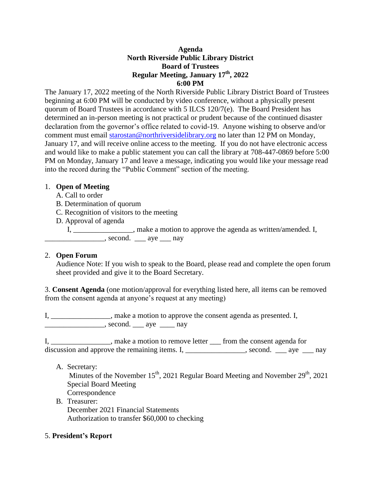# **Agenda North Riverside Public Library District Board of Trustees Regular Meeting, January 17 th, 2022 6:00 PM**

The January 17, 2022 meeting of the North Riverside Public Library District Board of Trustees beginning at 6:00 PM will be conducted by video conference, without a physically present quorum of Board Trustees in accordance with 5 ILCS 120/7(e). The Board President has determined an in-person meeting is not practical or prudent because of the continued disaster declaration from the governor's office related to covid-19. Anyone wishing to observe and/or comment must email [starostan@northriversidelibrary.org](mailto:starostan@northriversidelibrary.org) no later than 12 PM on Monday, January 17, and will receive online access to the meeting. If you do not have electronic access and would like to make a public statement you can call the library at 708-447-0869 before 5:00 PM on Monday, January 17 and leave a message, indicating you would like your message read into the record during the "Public Comment" section of the meeting.

# 1. **Open of Meeting**

- A. Call to order
- B. Determination of quorum
- C. Recognition of visitors to the meeting
- D. Approval of agenda

I, make a motion to approve the agenda as written/amended. I,  $\sim$ , second.  $\sim$  aye  $\sim$  nay

## 2. **Open Forum**

Audience Note: If you wish to speak to the Board, please read and complete the open forum sheet provided and give it to the Board Secretary.

3. **Consent Agenda** (one motion/approval for everything listed here, all items can be removed from the consent agenda at anyone's request at any meeting)

I, \_\_\_\_\_\_\_\_\_\_\_\_\_\_\_\_, make a motion to approve the consent agenda as presented. I,  $\sim$ , second.  $\sim$  aye  $\sim$  nay

I, \_\_\_\_\_\_\_\_\_\_\_\_\_\_, make a motion to remove letter \_\_\_ from the consent agenda for discussion and approve the remaining items. I,  $\qquad \qquad$  second.  $\qquad$  aye  $\qquad$  nay

A. Secretary:

Minutes of the November  $15<sup>th</sup>$ , 2021 Regular Board Meeting and November  $29<sup>th</sup>$ , 2021 Special Board Meeting

- Correspondence
- B. Treasurer: December 2021 Financial Statements Authorization to transfer \$60,000 to checking

# 5. **President's Report**